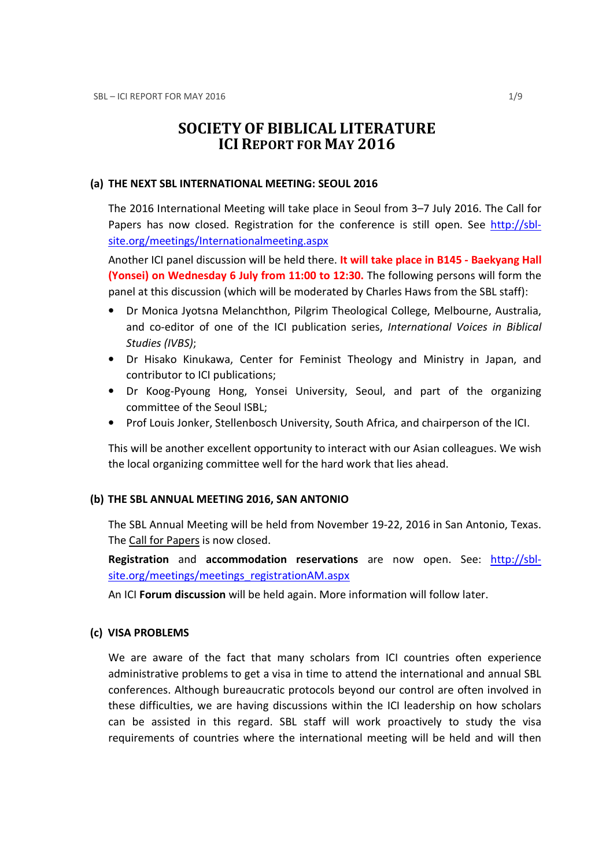# SOCIETY OF BIBLICAL LITERATURE ICI REPORT FOR MAY 2016

#### (a) THE NEXT SBL INTERNATIONAL MEETING: SEOUL 2016

The 2016 International Meeting will take place in Seoul from 3–7 July 2016. The Call for Papers has now closed. Registration for the conference is still open. See http://sblsite.org/meetings/Internationalmeeting.aspx

Another ICI panel discussion will be held there. It will take place in B145 - Baekyang Hall (Yonsei) on Wednesday 6 July from 11:00 to 12:30. The following persons will form the panel at this discussion (which will be moderated by Charles Haws from the SBL staff):

- Dr Monica Jyotsna Melanchthon, Pilgrim Theological College, Melbourne, Australia, and co-editor of one of the ICI publication series, International Voices in Biblical Studies (IVBS);
- Dr Hisako Kinukawa, Center for Feminist Theology and Ministry in Japan, and contributor to ICI publications;
- Dr Koog-Pyoung Hong, Yonsei University, Seoul, and part of the organizing committee of the Seoul ISBL;
- Prof Louis Jonker, Stellenbosch University, South Africa, and chairperson of the ICI.

This will be another excellent opportunity to interact with our Asian colleagues. We wish the local organizing committee well for the hard work that lies ahead.

#### (b) THE SBL ANNUAL MEETING 2016, SAN ANTONIO

The SBL Annual Meeting will be held from November 19-22, 2016 in San Antonio, Texas. The Call for Papers is now closed.

Registration and accommodation reservations are now open. See: http://sblsite.org/meetings/meetings\_registrationAM.aspx

An ICI Forum discussion will be held again. More information will follow later.

#### (c) VISA PROBLEMS

We are aware of the fact that many scholars from ICI countries often experience administrative problems to get a visa in time to attend the international and annual SBL conferences. Although bureaucratic protocols beyond our control are often involved in these difficulties, we are having discussions within the ICI leadership on how scholars can be assisted in this regard. SBL staff will work proactively to study the visa requirements of countries where the international meeting will be held and will then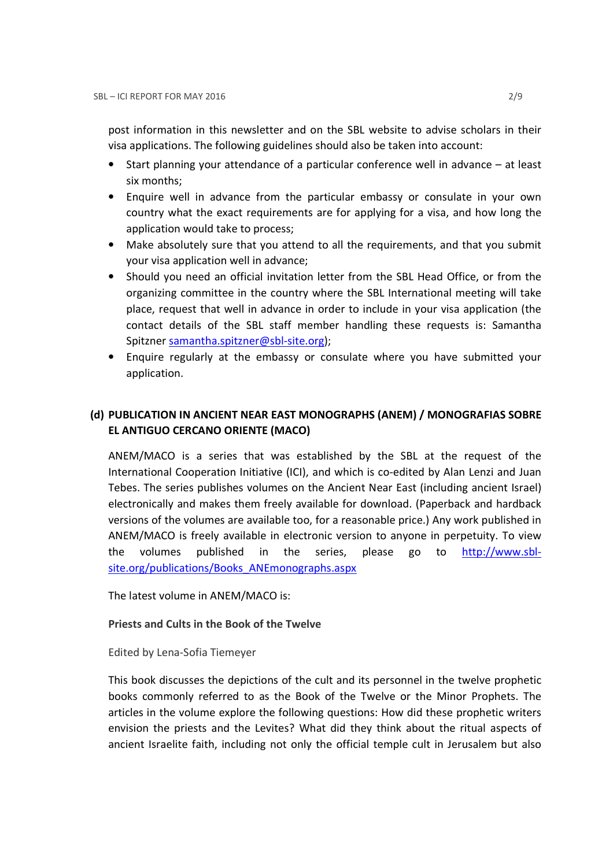post information in this newsletter and on the SBL website to advise scholars in their visa applications. The following guidelines should also be taken into account:

- Start planning your attendance of a particular conference well in advance at least six months;
- Enquire well in advance from the particular embassy or consulate in your own country what the exact requirements are for applying for a visa, and how long the application would take to process;
- Make absolutely sure that you attend to all the requirements, and that you submit your visa application well in advance;
- Should you need an official invitation letter from the SBL Head Office, or from the organizing committee in the country where the SBL International meeting will take place, request that well in advance in order to include in your visa application (the contact details of the SBL staff member handling these requests is: Samantha Spitzner samantha.spitzner@sbl-site.org);
- Enquire regularly at the embassy or consulate where you have submitted your application.

## (d) PUBLICATION IN ANCIENT NEAR EAST MONOGRAPHS (ANEM) / MONOGRAFIAS SOBRE EL ANTIGUO CERCANO ORIENTE (MACO)

ANEM/MACO is a series that was established by the SBL at the request of the International Cooperation Initiative (ICI), and which is co-edited by Alan Lenzi and Juan Tebes. The series publishes volumes on the Ancient Near East (including ancient Israel) electronically and makes them freely available for download. (Paperback and hardback versions of the volumes are available too, for a reasonable price.) Any work published in ANEM/MACO is freely available in electronic version to anyone in perpetuity. To view the volumes published in the series, please go to http://www.sblsite.org/publications/Books\_ANEmonographs.aspx

The latest volume in ANEM/MACO is:

### Priests and Cults in the Book of the Twelve

### Edited by Lena-Sofia Tiemeyer

This book discusses the depictions of the cult and its personnel in the twelve prophetic books commonly referred to as the Book of the Twelve or the Minor Prophets. The articles in the volume explore the following questions: How did these prophetic writers envision the priests and the Levites? What did they think about the ritual aspects of ancient Israelite faith, including not only the official temple cult in Jerusalem but also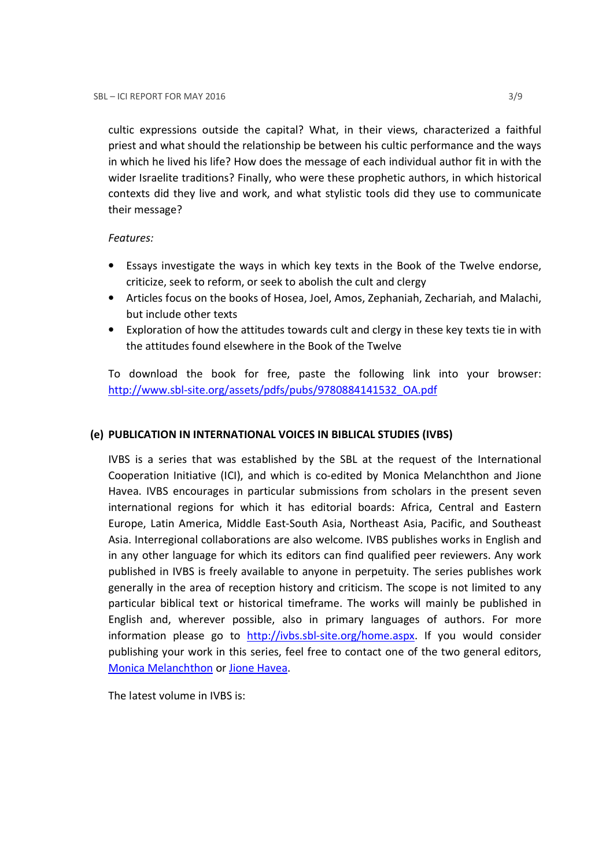cultic expressions outside the capital? What, in their views, characterized a faithful priest and what should the relationship be between his cultic performance and the ways in which he lived his life? How does the message of each individual author fit in with the wider Israelite traditions? Finally, who were these prophetic authors, in which historical contexts did they live and work, and what stylistic tools did they use to communicate their message?

## Features:

- Essays investigate the ways in which key texts in the Book of the Twelve endorse, criticize, seek to reform, or seek to abolish the cult and clergy
- Articles focus on the books of Hosea, Joel, Amos, Zephaniah, Zechariah, and Malachi, but include other texts
- Exploration of how the attitudes towards cult and clergy in these key texts tie in with the attitudes found elsewhere in the Book of the Twelve

To download the book for free, paste the following link into your browser: http://www.sbl-site.org/assets/pdfs/pubs/9780884141532\_OA.pdf

## (e) PUBLICATION IN INTERNATIONAL VOICES IN BIBLICAL STUDIES (IVBS)

IVBS is a series that was established by the SBL at the request of the International Cooperation Initiative (ICI), and which is co-edited by Monica Melanchthon and Jione Havea. IVBS encourages in particular submissions from scholars in the present seven international regions for which it has editorial boards: Africa, Central and Eastern Europe, Latin America, Middle East-South Asia, Northeast Asia, Pacific, and Southeast Asia. Interregional collaborations are also welcome. IVBS publishes works in English and in any other language for which its editors can find qualified peer reviewers. Any work published in IVBS is freely available to anyone in perpetuity. The series publishes work generally in the area of reception history and criticism. The scope is not limited to any particular biblical text or historical timeframe. The works will mainly be published in English and, wherever possible, also in primary languages of authors. For more information please go to http://ivbs.sbl-site.org/home.aspx. If you would consider publishing your work in this series, feel free to contact one of the two general editors, Monica Melanchthon or Jione Havea.

The latest volume in IVBS is: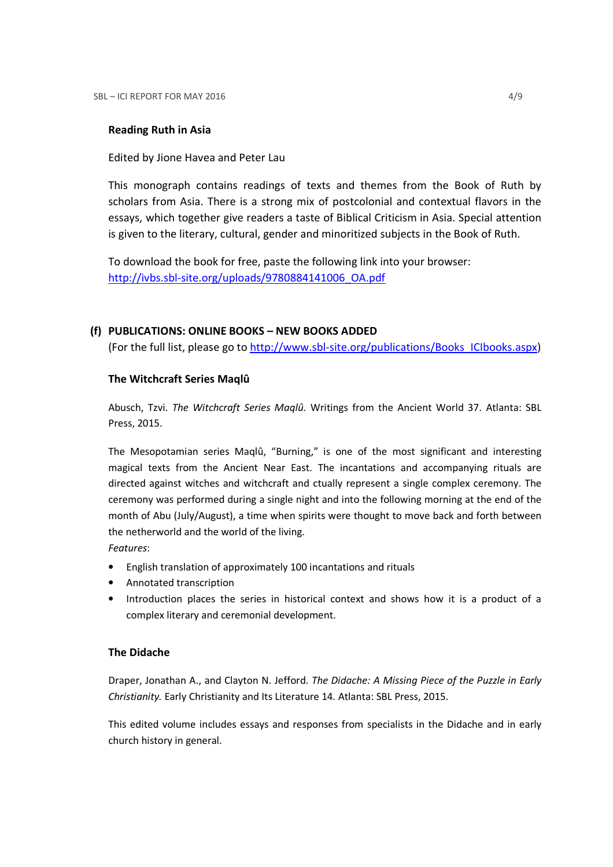### Reading Ruth in Asia

Edited by Jione Havea and Peter Lau

This monograph contains readings of texts and themes from the Book of Ruth by scholars from Asia. There is a strong mix of postcolonial and contextual flavors in the essays, which together give readers a taste of Biblical Criticism in Asia. Special attention is given to the literary, cultural, gender and minoritized subjects in the Book of Ruth.

To download the book for free, paste the following link into your browser: http://ivbs.sbl-site.org/uploads/9780884141006\_OA.pdf

## (f) PUBLICATIONS: ONLINE BOOKS – NEW BOOKS ADDED

(For the full list, please go to http://www.sbl-site.org/publications/Books\_ICIbooks.aspx)

## The Witchcraft Series Maqlû

Abusch, Tzvi. The Witchcraft Series Maqlû. Writings from the Ancient World 37. Atlanta: SBL Press, 2015.

The Mesopotamian series Maqlû, "Burning," is one of the most significant and interesting magical texts from the Ancient Near East. The incantations and accompanying rituals are directed against witches and witchcraft and ctually represent a single complex ceremony. The ceremony was performed during a single night and into the following morning at the end of the month of Abu (July/August), a time when spirits were thought to move back and forth between the netherworld and the world of the living.

Features:

- English translation of approximately 100 incantations and rituals
- Annotated transcription
- Introduction places the series in historical context and shows how it is a product of a complex literary and ceremonial development.

### The Didache

Draper, Jonathan A., and Clayton N. Jefford. The Didache: A Missing Piece of the Puzzle in Early Christianity. Early Christianity and Its Literature 14. Atlanta: SBL Press, 2015.

This edited volume includes essays and responses from specialists in the Didache and in early church history in general.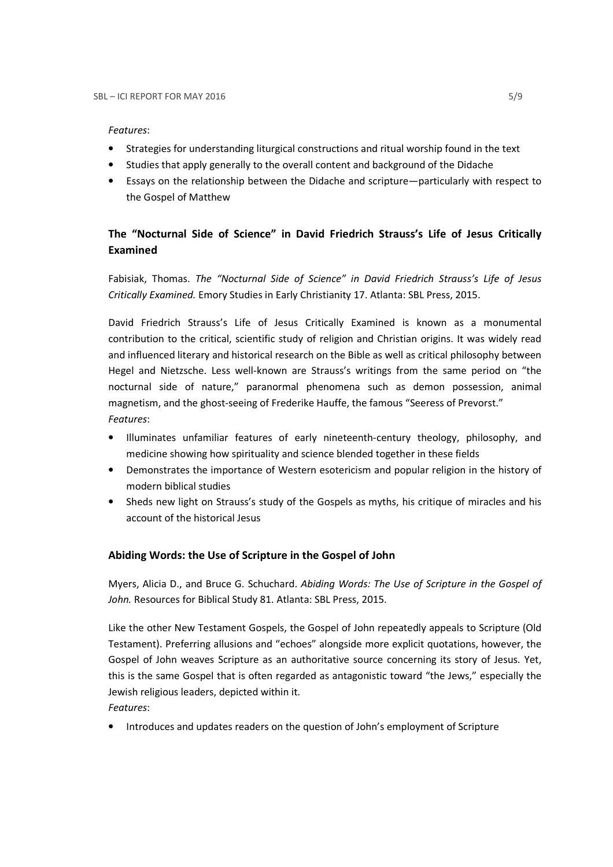#### Features:

- Strategies for understanding liturgical constructions and ritual worship found in the text
- Studies that apply generally to the overall content and background of the Didache
- Essays on the relationship between the Didache and scripture—particularly with respect to the Gospel of Matthew

## The "Nocturnal Side of Science" in David Friedrich Strauss's Life of Jesus Critically Examined

Fabisiak, Thomas. The "Nocturnal Side of Science" in David Friedrich Strauss's Life of Jesus Critically Examined. Emory Studies in Early Christianity 17. Atlanta: SBL Press, 2015.

David Friedrich Strauss's Life of Jesus Critically Examined is known as a monumental contribution to the critical, scientific study of religion and Christian origins. It was widely read and influenced literary and historical research on the Bible as well as critical philosophy between Hegel and Nietzsche. Less well-known are Strauss's writings from the same period on "the nocturnal side of nature," paranormal phenomena such as demon possession, animal magnetism, and the ghost-seeing of Frederike Hauffe, the famous "Seeress of Prevorst." Features:

- Illuminates unfamiliar features of early nineteenth-century theology, philosophy, and medicine showing how spirituality and science blended together in these fields
- Demonstrates the importance of Western esotericism and popular religion in the history of modern biblical studies
- Sheds new light on Strauss's study of the Gospels as myths, his critique of miracles and his account of the historical Jesus

### Abiding Words: the Use of Scripture in the Gospel of John

Myers, Alicia D., and Bruce G. Schuchard. Abiding Words: The Use of Scripture in the Gospel of John. Resources for Biblical Study 81. Atlanta: SBL Press, 2015.

Like the other New Testament Gospels, the Gospel of John repeatedly appeals to Scripture (Old Testament). Preferring allusions and "echoes" alongside more explicit quotations, however, the Gospel of John weaves Scripture as an authoritative source concerning its story of Jesus. Yet, this is the same Gospel that is often regarded as antagonistic toward "the Jews," especially the Jewish religious leaders, depicted within it.

Features:

• Introduces and updates readers on the question of John's employment of Scripture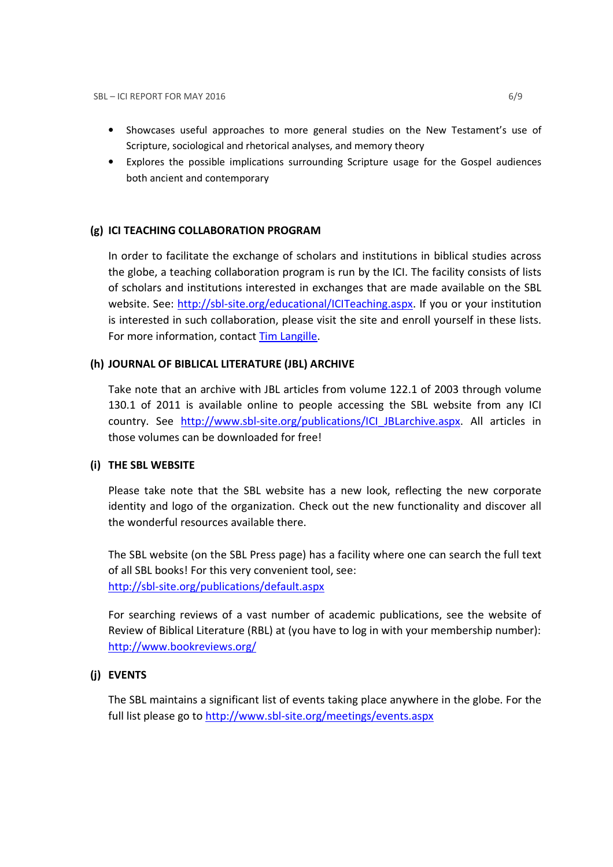- Showcases useful approaches to more general studies on the New Testament's use of Scripture, sociological and rhetorical analyses, and memory theory
- Explores the possible implications surrounding Scripture usage for the Gospel audiences both ancient and contemporary

## (g) ICI TEACHING COLLABORATION PROGRAM

In order to facilitate the exchange of scholars and institutions in biblical studies across the globe, a teaching collaboration program is run by the ICI. The facility consists of lists of scholars and institutions interested in exchanges that are made available on the SBL website. See: http://sbl-site.org/educational/ICITeaching.aspx. If you or your institution is interested in such collaboration, please visit the site and enroll yourself in these lists. For more information, contact Tim Langille.

### (h) JOURNAL OF BIBLICAL LITERATURE (JBL) ARCHIVE

Take note that an archive with JBL articles from volume 122.1 of 2003 through volume 130.1 of 2011 is available online to people accessing the SBL website from any ICI country. See http://www.sbl-site.org/publications/ICI JBLarchive.aspx. All articles in those volumes can be downloaded for free!

### (i) THE SBL WEBSITE

Please take note that the SBL website has a new look, reflecting the new corporate identity and logo of the organization. Check out the new functionality and discover all the wonderful resources available there.

The SBL website (on the SBL Press page) has a facility where one can search the full text of all SBL books! For this very convenient tool, see: http://sbl-site.org/publications/default.aspx

For searching reviews of a vast number of academic publications, see the website of Review of Biblical Literature (RBL) at (you have to log in with your membership number): http://www.bookreviews.org/

## (j) EVENTS

The SBL maintains a significant list of events taking place anywhere in the globe. For the full list please go to http://www.sbl-site.org/meetings/events.aspx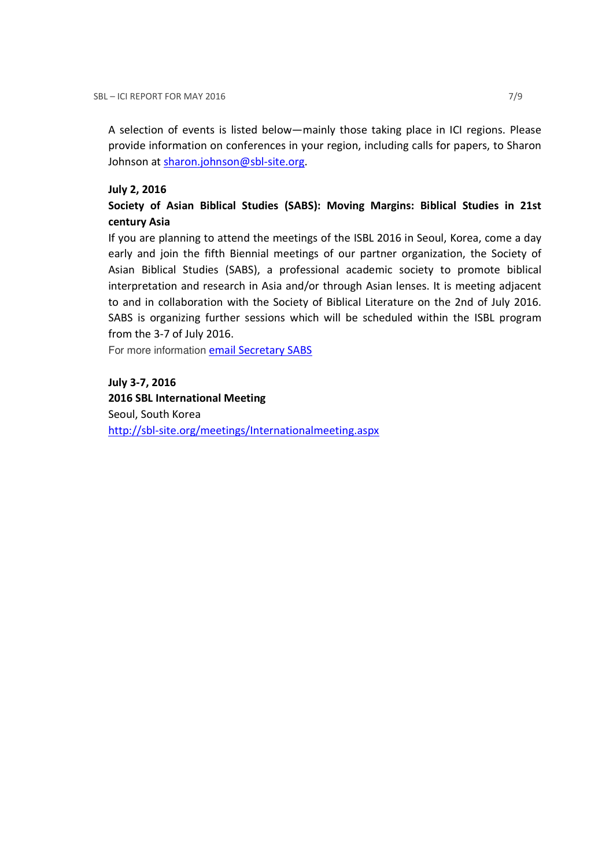A selection of events is listed below—mainly those taking place in ICI regions. Please provide information on conferences in your region, including calls for papers, to Sharon Johnson at sharon.johnson@sbl-site.org.

#### July 2, 2016

## Society of Asian Biblical Studies (SABS): Moving Margins: Biblical Studies in 21st century Asia

If you are planning to attend the meetings of the ISBL 2016 in Seoul, Korea, come a day early and join the fifth Biennial meetings of our partner organization, the Society of Asian Biblical Studies (SABS), a professional academic society to promote biblical interpretation and research in Asia and/or through Asian lenses. It is meeting adjacent to and in collaboration with the Society of Biblical Literature on the 2nd of July 2016. SABS is organizing further sessions which will be scheduled within the ISBL program from the 3-7 of July 2016.

For more information **email Secretary SABS** 

July 3-7, 2016 2016 SBL International Meeting Seoul, South Korea http://sbl-site.org/meetings/Internationalmeeting.aspx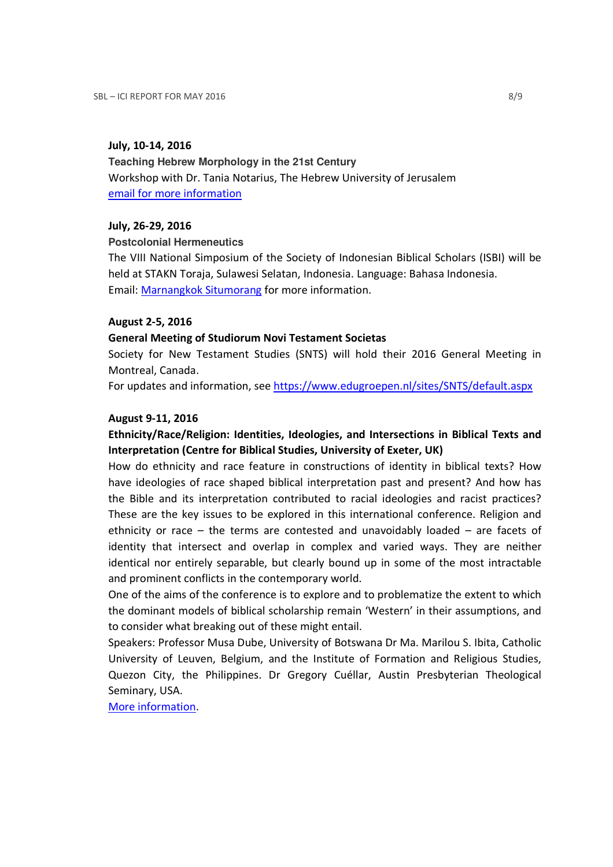#### July, 10-14, 2016

**Teaching Hebrew Morphology in the 21st Century**  Workshop with Dr. Tania Notarius, The Hebrew University of Jerusalem email for more information

#### July, 26-29, 2016

**Postcolonial Hermeneutics** 

The VIII National Simposium of the Society of Indonesian Biblical Scholars (ISBI) will be held at STAKN Toraja, Sulawesi Selatan, Indonesia. Language: Bahasa Indonesia. Email: Marnangkok Situmorang for more information.

#### August 2-5, 2016

#### General Meeting of Studiorum Novi Testament Societas

Society for New Testament Studies (SNTS) will hold their 2016 General Meeting in Montreal, Canada.

For updates and information, see https://www.edugroepen.nl/sites/SNTS/default.aspx

#### August 9-11, 2016

## Ethnicity/Race/Religion: Identities, Ideologies, and Intersections in Biblical Texts and Interpretation (Centre for Biblical Studies, University of Exeter, UK)

How do ethnicity and race feature in constructions of identity in biblical texts? How have ideologies of race shaped biblical interpretation past and present? And how has the Bible and its interpretation contributed to racial ideologies and racist practices? These are the key issues to be explored in this international conference. Religion and ethnicity or race – the terms are contested and unavoidably loaded – are facets of identity that intersect and overlap in complex and varied ways. They are neither identical nor entirely separable, but clearly bound up in some of the most intractable and prominent conflicts in the contemporary world.

One of the aims of the conference is to explore and to problematize the extent to which the dominant models of biblical scholarship remain 'Western' in their assumptions, and to consider what breaking out of these might entail.

Speakers: Professor Musa Dube, University of Botswana Dr Ma. Marilou S. Ibita, Catholic University of Leuven, Belgium, and the Institute of Formation and Religious Studies, Quezon City, the Philippines. Dr Gregory Cuéllar, Austin Presbyterian Theological Seminary, USA.

More information.